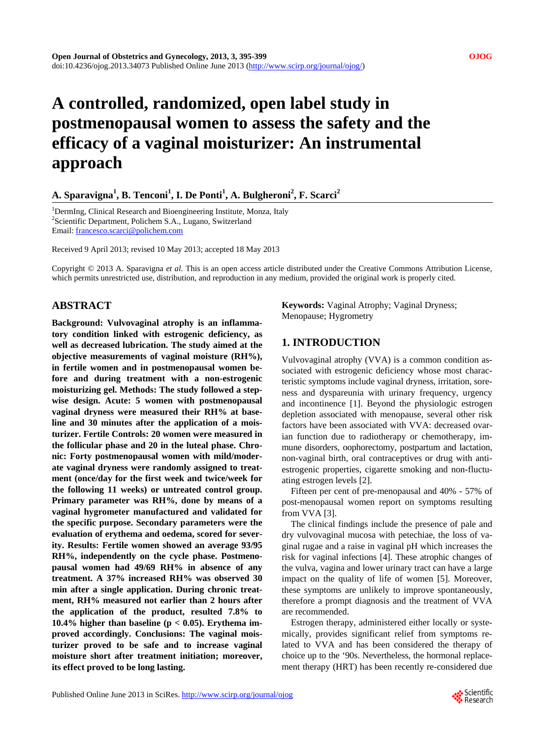# **A controlled, randomized, open label study in postmenopausal women to assess the safety and the efficacy of a vaginal moisturizer: An instrumental approach**

# $\bf{A}.$  Sparavigna<sup>1</sup>,  $\bf{B}.$  Tenconi<sup>1</sup>,  $\bf{I}.$  De Ponti<sup>1</sup>,  $\bf{A}.$  Bulgheroni<sup>2</sup>,  $\bf{F}.$  Scarci<sup>2</sup>

<sup>1</sup>DermIng, Clinical Research and Bioengineering Institute, Monza, Italy 2 Scientific Department, Polichem S.A., Lugano, Switzerland Email: [francesco.scarci@polichem.com](mailto:francesco.scarci@polichem.com)

Received 9 April 2013; revised 10 May 2013; accepted 18 May 2013

Copyright © 2013 A. Sparavigna *et al*. This is an open access article distributed under the Creative Commons Attribution License, which permits unrestricted use, distribution, and reproduction in any medium, provided the original work is properly cited.

# **ABSTRACT**

**Background: Vulvovaginal atrophy is an inflammatory condition linked with estrogenic deficiency, as well as decreased lubrication. The study aimed at the objective measurements of vaginal moisture (RH%), in fertile women and in postmenopausal women before and during treatment with a non-estrogenic moisturizing gel. Methods: The study followed a stepwise design. Acute: 5 women with postmenopausal vaginal dryness were measured their RH% at baseline and 30 minutes after the application of a moisturizer. Fertile Controls: 20 women were measured in the follicular phase and 20 in the luteal phase. Chronic: Forty postmenopausal women with mild/moderate vaginal dryness were randomly assigned to treatment (once/day for the first week and twice/week for the following 11 weeks) or untreated control group. Primary parameter was RH%, done by means of a vaginal hygrometer manufactured and validated for the specific purpose. Secondary parameters were the evaluation of erythema and oedema, scored for severity. Results: Fertile women showed an average 93/95 RH%, independently on the cycle phase. Postmenopausal women had 49/69 RH% in absence of any treatment. A 37% increased RH% was observed 30 min after a single application. During chronic treatment, RH% measured not earlier than 2 hours after the application of the product, resulted 7.8% to 10.4% higher than baseline (p < 0.05). Erythema improved accordingly. Conclusions: The vaginal moisturizer proved to be safe and to increase vaginal moisture short after treatment initiation; moreover, its effect proved to be long lasting.** 

**Keywords:** Vaginal Atrophy; Vaginal Dryness; Menopause; Hygrometry

# **1. INTRODUCTION**

Vulvovaginal atrophy (VVA) is a common condition associated with estrogenic deficiency whose most characteristic symptoms include vaginal dryness, irritation, soreness and dyspareunia with urinary frequency, urgency and incontinence [1]. Beyond the physiologic estrogen depletion associated with menopause, several other risk factors have been associated with VVA: decreased ovarian function due to radiotherapy or chemotherapy, immune disorders, oophorectomy, postpartum and lactation, non-vaginal birth, oral contraceptives or drug with antiestrogenic properties, cigarette smoking and non-fluctuating estrogen levels [2].

Fifteen per cent of pre-menopausal and 40% - 57% of post-menopausal women report on symptoms resulting from VVA [3].

The clinical findings include the presence of pale and dry vulvovaginal mucosa with petechiae, the loss of vaginal rugae and a raise in vaginal pH which increases the risk for vaginal infections [4]. These atrophic changes of the vulva, vagina and lower urinary tract can have a large impact on the quality of life of women [5]. Moreover, these symptoms are unlikely to improve spontaneously, therefore a prompt diagnosis and the treatment of VVA are recommended.

Estrogen therapy, administered either locally or systemically, provides significant relief from symptoms related to VVA and has been considered the therapy of choice up to the '90s. Nevertheless, the hormonal replacement therapy (HRT) has been recently re-considered due

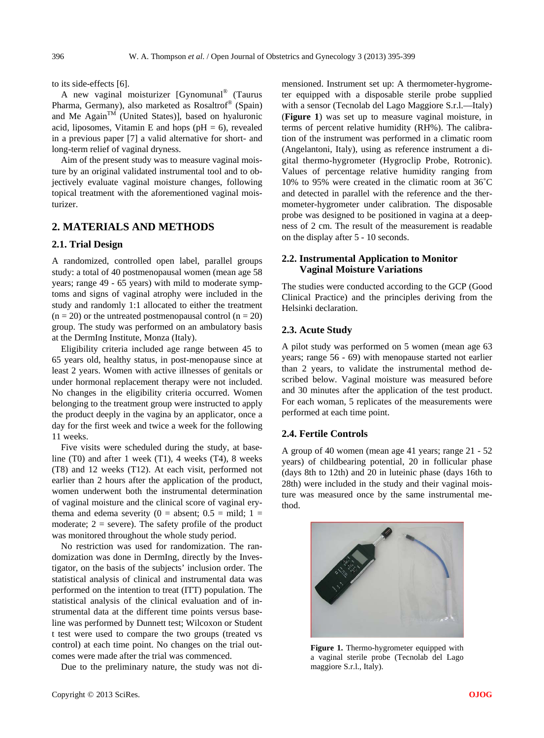to its side-effects [6].

A new vaginal moisturizer [Gynomunal® (Taurus Pharma, Germany), also marketed as Rosaltrof® (Spain) and Me Again<sup>TM</sup> (United States)], based on hyaluronic acid, liposomes, Vitamin E and hops ( $pH = 6$ ), revealed in a previous paper [7] a valid alternative for short- and long-term relief of vaginal dryness.

Aim of the present study was to measure vaginal moisture by an original validated instrumental tool and to objectively evaluate vaginal moisture changes, following topical treatment with the aforementioned vaginal moisturizer.

# **2. MATERIALS AND METHODS**

# **2.1. Trial Design**

A randomized, controlled open label, parallel groups study: a total of 40 postmenopausal women (mean age 58 years; range 49 - 65 years) with mild to moderate symptoms and signs of vaginal atrophy were included in the study and randomly 1:1 allocated to either the treatment  $(n = 20)$  or the untreated postmenopausal control  $(n = 20)$ group. The study was performed on an ambulatory basis at the DermIng Institute, Monza (Italy).

Eligibility criteria included age range between 45 to 65 years old, healthy status, in post-menopause since at least 2 years. Women with active illnesses of genitals or under hormonal replacement therapy were not included. No changes in the eligibility criteria occurred. Women belonging to the treatment group were instructed to apply the product deeply in the vagina by an applicator, once a day for the first week and twice a week for the following 11 weeks.

Five visits were scheduled during the study, at baseline (T0) and after 1 week (T1), 4 weeks (T4), 8 weeks (T8) and 12 weeks (T12). At each visit, performed not earlier than 2 hours after the application of the product, women underwent both the instrumental determination of vaginal moisture and the clinical score of vaginal erythema and edema severity ( $0 =$  absent;  $0.5 =$  mild;  $1 =$ moderate;  $2 =$  severe). The safety profile of the product was monitored throughout the whole study period.

No restriction was used for randomization. The randomization was done in DermIng, directly by the Investigator, on the basis of the subjects' inclusion order. The statistical analysis of clinical and instrumental data was performed on the intention to treat (ITT) population. The statistical analysis of the clinical evaluation and of instrumental data at the different time points versus baseline was performed by Dunnett test; Wilcoxon or Student t test were used to compare the two groups (treated vs control) at each time point. No changes on the trial outcomes were made after the trial was commenced.

Due to the preliminary nature, the study was not di-

mensioned. Instrument set up: A thermometer-hygrometer equipped with a disposable sterile probe supplied with a sensor (Tecnolab del Lago Maggiore S.r.l.—Italy) (**Figure 1**) was set up to measure vaginal moisture, in terms of percent relative humidity (RH%). The calibration of the instrument was performed in a climatic room (Angelantoni, Italy), using as reference instrument a digital thermo-hygrometer (Hygroclip Probe, Rotronic). Values of percentage relative humidity ranging from 10% to 95% were created in the climatic room at 36˚C and detected in parallel with the reference and the thermometer-hygrometer under calibration. The disposable probe was designed to be positioned in vagina at a deepness of 2 cm. The result of the measurement is readable on the display after 5 - 10 seconds.

# **2.2. Instrumental Application to Monitor Vaginal Moisture Variations**

The studies were conducted according to the GCP (Good Clinical Practice) and the principles deriving from the Helsinki declaration.

#### **2.3. Acute Study**

A pilot study was performed on 5 women (mean age 63 years; range 56 - 69) with menopause started not earlier than 2 years, to validate the instrumental method described below. Vaginal moisture was measured before and 30 minutes after the application of the test product. For each woman, 5 replicates of the measurements were performed at each time point.

#### **2.4. Fertile Controls**

A group of 40 women (mean age 41 years; range 21 - 52 years) of childbearing potential, 20 in follicular phase (days 8th to 12th) and 20 in luteinic phase (days 16th to 28th) were included in the study and their vaginal moisture was measured once by the same instrumental method.



Figure 1. Thermo-hygrometer equipped with a vaginal sterile probe (Tecnolab del Lago maggiore S.r.l., Italy).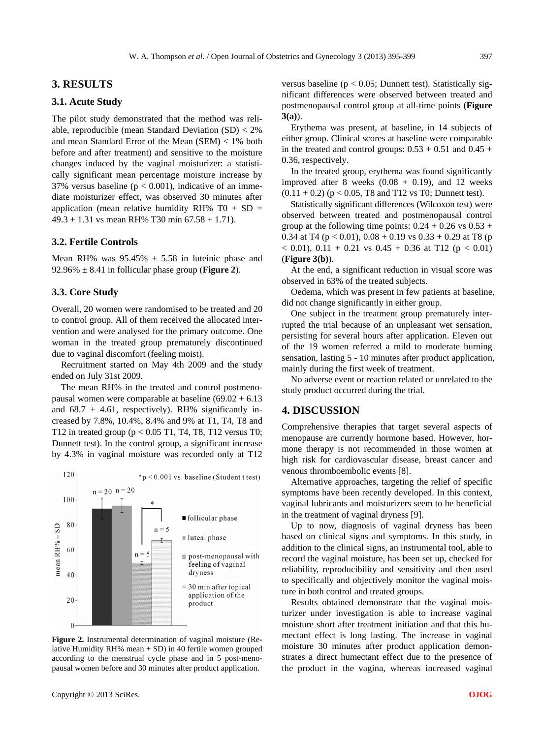# **3. RESULTS**

## **3.1. Acute Study**

The pilot study demonstrated that the method was reliable, reproducible (mean Standard Deviation  $(SD) < 2\%$ and mean Standard Error of the Mean (SEM) < 1% both before and after treatment) and sensitive to the moisture changes induced by the vaginal moisturizer: a statistically significant mean percentage moisture increase by 37% versus baseline ( $p < 0.001$ ), indicative of an immediate moisturizer effect, was observed 30 minutes after application (mean relative humidity RH% T0 + SD =  $49.3 + 1.31$  vs mean RH% T30 min  $67.58 + 1.71$ .

## **3.2. Fertile Controls**

Mean RH% was  $95.45\% \pm 5.58$  in luteinic phase and  $92.96\% \pm 8.41$  in follicular phase group (**Figure 2**).

#### **3.3. Core Study**

Overall, 20 women were randomised to be treated and 20 to control group. All of them received the allocated intervention and were analysed for the primary outcome. One woman in the treated group prematurely discontinued due to vaginal discomfort (feeling moist).

Recruitment started on May 4th 2009 and the study ended on July 31st 2009.

The mean RH% in the treated and control postmenopausal women were comparable at baseline  $(69.02 + 6.13)$ and  $68.7 + 4.61$ , respectively). RH% significantly increased by 7.8%, 10.4%, 8.4% and 9% at T1, T4, T8 and T12 in treated group (p < 0.05 T1, T4, T8, T12 versus T0; Dunnett test). In the control group, a significant increase by 4.3% in vaginal moisture was recorded only at T12



**Figure 2.** Instrumental determination of vaginal moisture (Relative Humidity RH% mean + SD) in 40 fertile women grouped according to the menstrual cycle phase and in 5 post-menopausal women before and 30 minutes after product application.

versus baseline ( $p < 0.05$ ; Dunnett test). Statistically significant differences were observed between treated and postmenopausal control group at all-time points (**Figure 3(a)**).

Erythema was present, at baseline, in 14 subjects of either group. Clinical scores at baseline were comparable in the treated and control groups:  $0.53 + 0.51$  and  $0.45 +$ 0.36, respectively.

In the treated group, erythema was found significantly improved after 8 weeks  $(0.08 + 0.19)$ , and 12 weeks  $(0.11 + 0.2)$  (p < 0.05, T8 and T12 vs T0; Dunnett test).

Statistically significant differences (Wilcoxon test) were observed between treated and postmenopausal control group at the following time points:  $0.24 + 0.26$  vs  $0.53 +$ 0.34 at T4 ( $p < 0.01$ ), 0.08 + 0.19 vs 0.33 + 0.29 at T8 ( $p$ )  $<$  0.01), 0.11 + 0.21 vs 0.45 + 0.36 at T12 (p  $<$  0.01) (**Figure 3(b)**).

At the end, a significant reduction in visual score was observed in 63% of the treated subjects.

Oedema, which was present in few patients at baseline, did not change significantly in either group.

One subject in the treatment group prematurely interrupted the trial because of an unpleasant wet sensation, persisting for several hours after application. Eleven out of the 19 women referred a mild to moderate burning sensation, lasting 5 - 10 minutes after product application, mainly during the first week of treatment.

No adverse event or reaction related or unrelated to the study product occurred during the trial.

#### **4. DISCUSSION**

Comprehensive therapies that target several aspects of menopause are currently hormone based. However, hormone therapy is not recommended in those women at high risk for cardiovascular disease, breast cancer and venous thromboembolic events [8].

Alternative approaches, targeting the relief of specific symptoms have been recently developed. In this context, vaginal lubricants and moisturizers seem to be beneficial in the treatment of vaginal dryness [9].

Up to now, diagnosis of vaginal dryness has been based on clinical signs and symptoms. In this study, in addition to the clinical signs, an instrumental tool, able to record the vaginal moisture, has been set up, checked for reliability, reproducibility and sensitivity and then used to specifically and objectively monitor the vaginal moisture in both control and treated groups.

Results obtained demonstrate that the vaginal moisturizer under investigation is able to increase vaginal moisture short after treatment initiation and that this humectant effect is long lasting. The increase in vaginal moisture 30 minutes after product application demonstrates a direct humectant effect due to the presence of the product in the vagina, whereas increased vaginal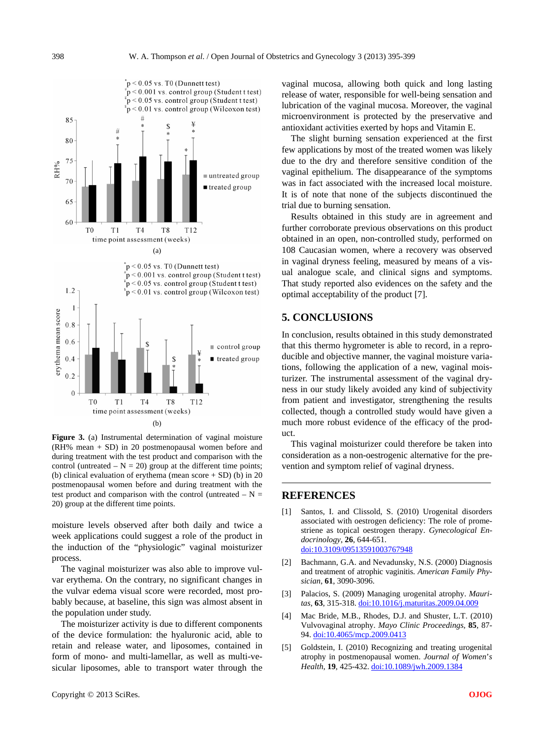

Figure 3. (a) Instrumental determination of vaginal moisture (RH% mean + SD) in 20 postmenopausal women before and during treatment with the test product and comparison with the control (untreated  $- N = 20$ ) group at the different time points; (b) clinical evaluation of erythema (mean score + SD) (b) in 20 postmenopausal women before and during treatment with the test product and comparison with the control (untreated  $- N =$ 20) group at the different time points.

moisture levels observed after both daily and twice a week applications could suggest a role of the product in the induction of the "physiologic" vaginal moisturizer process.

The vaginal moisturizer was also able to improve vulvar erythema. On the contrary, no significant changes in the vulvar edema visual score were recorded, most probably because, at baseline, this sign was almost absent in the population under study.

The moisturizer activity is due to different components of the device formulation: the hyaluronic acid, able to retain and release water, and liposomes, contained in form of mono- and multi-lamellar, as well as multi-vesicular liposomes, able to transport water through the

vaginal mucosa, allowing both quick and long lasting release of water, responsible for well-being sensation and lubrication of the vaginal mucosa. Moreover, the vaginal microenvironment is protected by the preservative and antioxidant activities exerted by hops and Vitamin E.

The slight burning sensation experienced at the first few applications by most of the treated women was likely due to the dry and therefore sensitive condition of the vaginal epithelium. The disappearance of the symptoms was in fact associated with the increased local moisture. It is of note that none of the subjects discontinued the trial due to burning sensation.

Results obtained in this study are in agreement and further corroborate previous observations on this product obtained in an open, non-controlled study, performed on 108 Caucasian women, where a recovery was observed in vaginal dryness feeling, measured by means of a visual analogue scale, and clinical signs and symptoms. That study reported also evidences on the safety and the optimal acceptability of the product [7].

# **5. CONCLUSIONS**

In conclusion, results obtained in this study demonstrated that this thermo hygrometer is able to record, in a reproducible and objective manner, the vaginal moisture variations, following the application of a new, vaginal moisturizer. The instrumental assessment of the vaginal dryness in our study likely avoided any kind of subjectivity from patient and investigator, strengthening the results collected, though a controlled study would have given a much more robust evidence of the efficacy of the product.

This vaginal moisturizer could therefore be taken into consideration as a non-oestrogenic alternative for the prevention and symptom relief of vaginal dryness.

# **REFERENCES**

- [1] Santos, I. and Clissold, S. (2010) Urogenital disorders associated with oestrogen deficiency: The role of promestriene as topical oestrogen therapy. *Gynecological Endocrinology*, **26**, 644-651. [doi:10.3109/09513591003767948](http://dx.doi.org/10.3109/09513591003767948)
- [2] Bachmann, G.A. and Nevadunsky, N.S. (2000) Diagnosis and treatment of atrophic vaginitis. *American Family Physician*, **61**, 3090-3096.
- [3] Palacios, S. (2009) Managing urogenital atrophy. *Mauritas*, **63**, 315-318. [doi:10.1016/j.maturitas.2009.04.009](http://dx.doi.org/10.1016/j.maturitas.2009.04.009)
- [4] Mac Bride, M.B., Rhodes, D.J. and Shuster, L.T. (2010) Vulvovaginal atrophy. *Mayo Clinic Proceedings*, **85**, 87- 94. [doi:10.4065/mcp.2009.0413](http://dx.doi.org/10.4065/mcp.2009.0413)
- [5] Goldstein, I. (2010) Recognizing and treating urogenital atrophy in postmenopausal women. *Journal of Women*'*s Health*, **19**, 425-432. [doi:10.1089/jwh.2009.1384](http://dx.doi.org/10.1089/jwh.2009.1384)